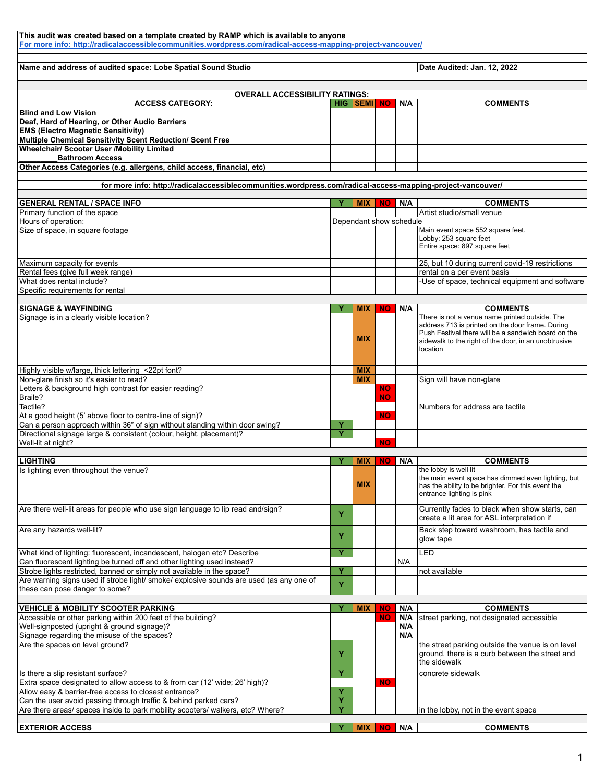| This audit was created based on a template created by RAMP which is available to anyone<br>For more info: http://radicalaccessiblecommunities.wordpress.com/radical-access-mapping-project-vancouver/ |        |                         |           |     |                                                                                                                                                                                                                               |  |  |
|-------------------------------------------------------------------------------------------------------------------------------------------------------------------------------------------------------|--------|-------------------------|-----------|-----|-------------------------------------------------------------------------------------------------------------------------------------------------------------------------------------------------------------------------------|--|--|
| Name and address of audited space: Lobe Spatial Sound Studio                                                                                                                                          |        |                         |           |     | Date Audited: Jan. 12, 2022                                                                                                                                                                                                   |  |  |
|                                                                                                                                                                                                       |        |                         |           |     |                                                                                                                                                                                                                               |  |  |
| <b>OVERALL ACCESSIBILITY RATINGS:</b>                                                                                                                                                                 |        |                         |           |     |                                                                                                                                                                                                                               |  |  |
| <b>ACCESS CATEGORY:</b><br><b>Blind and Low Vision</b>                                                                                                                                                |        | HIG SEMI NO             |           | N/A | <b>COMMENTS</b>                                                                                                                                                                                                               |  |  |
| Deaf, Hard of Hearing, or Other Audio Barriers                                                                                                                                                        |        |                         |           |     |                                                                                                                                                                                                                               |  |  |
| <b>EMS (Electro Magnetic Sensitivity)</b><br>Multiple Chemical Sensitivity Scent Reduction/ Scent Free                                                                                                |        |                         |           |     |                                                                                                                                                                                                                               |  |  |
| <b>Wheelchair/ Scooter User /Mobility Limited</b>                                                                                                                                                     |        |                         |           |     |                                                                                                                                                                                                                               |  |  |
| <b>Bathroom Access</b><br>Other Access Categories (e.g. allergens, child access, financial, etc)                                                                                                      |        |                         |           |     |                                                                                                                                                                                                                               |  |  |
| for more info: http://radicalaccessiblecommunities.wordpress.com/radical-access-mapping-project-vancouver/                                                                                            |        |                         |           |     |                                                                                                                                                                                                                               |  |  |
| <b>GENERAL RENTAL / SPACE INFO</b>                                                                                                                                                                    | Y      | <b>MIX</b>              | <b>NO</b> | N/A | <b>COMMENTS</b>                                                                                                                                                                                                               |  |  |
| Primary function of the space                                                                                                                                                                         |        |                         |           |     | Artist studio/small venue                                                                                                                                                                                                     |  |  |
| Hours of operation:                                                                                                                                                                                   |        | Dependant show schedule |           |     |                                                                                                                                                                                                                               |  |  |
| Size of space, in square footage                                                                                                                                                                      |        |                         |           |     | Main event space 552 square feet.<br>Lobby: 253 square feet<br>Entire space: 897 square feet                                                                                                                                  |  |  |
| Maximum capacity for events                                                                                                                                                                           |        |                         |           |     | 25, but 10 during current covid-19 restrictions                                                                                                                                                                               |  |  |
| Rental fees (give full week range)                                                                                                                                                                    |        |                         |           |     | rental on a per event basis                                                                                                                                                                                                   |  |  |
| What does rental include?<br>Specific requirements for rental                                                                                                                                         |        |                         |           |     | -Use of space, technical equipment and software                                                                                                                                                                               |  |  |
|                                                                                                                                                                                                       |        |                         |           |     |                                                                                                                                                                                                                               |  |  |
| <b>SIGNAGE &amp; WAYFINDING</b>                                                                                                                                                                       | Y      | <b>MIX</b>              | <b>NO</b> | N/A | <b>COMMENTS</b>                                                                                                                                                                                                               |  |  |
| Signage is in a clearly visible location?                                                                                                                                                             |        | <b>MIX</b>              |           |     | There is not a venue name printed outside. The<br>address 713 is printed on the door frame. During<br>Push Festival there will be a sandwich board on the<br>sidewalk to the right of the door, in an unobtrusive<br>location |  |  |
| Highly visible w/large, thick lettering <22pt font?                                                                                                                                                   |        | <b>MIX</b>              |           |     |                                                                                                                                                                                                                               |  |  |
| Non-glare finish so it's easier to read?                                                                                                                                                              |        | <b>MIX</b>              |           |     | Sign will have non-glare                                                                                                                                                                                                      |  |  |
| Letters & background high contrast for easier reading?                                                                                                                                                |        |                         | <b>NO</b> |     |                                                                                                                                                                                                                               |  |  |
| Braile?                                                                                                                                                                                               |        |                         | <b>NO</b> |     |                                                                                                                                                                                                                               |  |  |
| Tactile?                                                                                                                                                                                              |        |                         |           |     | Numbers for address are tactile                                                                                                                                                                                               |  |  |
| At a good height (5' above floor to centre-line of sign)?                                                                                                                                             |        |                         | <b>NO</b> |     |                                                                                                                                                                                                                               |  |  |
| Can a person approach within 36" of sign without standing within door swing?                                                                                                                          | Y<br>Ÿ |                         |           |     |                                                                                                                                                                                                                               |  |  |
| Directional signage large & consistent (colour, height, placement)?<br>Well-lit at night?                                                                                                             |        |                         | <b>NO</b> |     |                                                                                                                                                                                                                               |  |  |
|                                                                                                                                                                                                       |        |                         |           |     |                                                                                                                                                                                                                               |  |  |
| <b>LIGHTING</b>                                                                                                                                                                                       | Y      | <b>MIX</b>              | <b>NO</b> | N/A | <b>COMMENTS</b>                                                                                                                                                                                                               |  |  |
| Is lighting even throughout the venue?                                                                                                                                                                |        | <b>MIX</b>              |           |     | the lobby is well lit<br>the main event space has dimmed even lighting, but<br>has the ability to be brighter. For this event the<br>entrance lighting is pink                                                                |  |  |
| Are there well-lit areas for people who use sign language to lip read and/sign?                                                                                                                       | Y      |                         |           |     | Currently fades to black when show starts, can<br>create a lit area for ASL interpretation if                                                                                                                                 |  |  |
| Are any hazards well-lit?                                                                                                                                                                             | Y      |                         |           |     | Back step toward washroom, has tactile and<br>glow tape                                                                                                                                                                       |  |  |
| What kind of lighting: fluorescent, incandescent, halogen etc? Describe                                                                                                                               | Y      |                         |           |     | LED                                                                                                                                                                                                                           |  |  |
| Can fluorescent lighting be turned off and other lighting used instead?<br>Strobe lights restricted, banned or simply not available in the space?                                                     | Y      |                         |           | N/A | not available                                                                                                                                                                                                                 |  |  |
| Are warning signs used if strobe light/ smoke/ explosive sounds are used (as any one of<br>these can pose danger to some?                                                                             | Y      |                         |           |     |                                                                                                                                                                                                                               |  |  |
|                                                                                                                                                                                                       |        |                         |           |     |                                                                                                                                                                                                                               |  |  |
| <b>VEHICLE &amp; MOBILITY SCOOTER PARKING</b>                                                                                                                                                         | Y      | <b>MIX</b>              | <b>NO</b> | N/A | <b>COMMENTS</b>                                                                                                                                                                                                               |  |  |
| Accessible or other parking within 200 feet of the building?                                                                                                                                          |        |                         | <b>NO</b> | N/A | street parking, not designated accessible                                                                                                                                                                                     |  |  |
| Well-signposted (upright & ground signage)?                                                                                                                                                           |        |                         |           | N/A |                                                                                                                                                                                                                               |  |  |
| Signage regarding the misuse of the spaces?<br>Are the spaces on level ground?                                                                                                                        | Y      |                         |           | N/A | the street parking outside the venue is on level<br>ground, there is a curb between the street and<br>the sidewalk                                                                                                            |  |  |
| Is there a slip resistant surface?                                                                                                                                                                    | Y      |                         |           |     | concrete sidewalk                                                                                                                                                                                                             |  |  |
| Extra space designated to allow access to & from car (12' wide; 26' high)?                                                                                                                            |        |                         | <b>NO</b> |     |                                                                                                                                                                                                                               |  |  |
| Allow easy & barrier-free access to closest entrance?<br>Can the user avoid passing through traffic & behind parked cars?                                                                             | Y<br>Ÿ |                         |           |     |                                                                                                                                                                                                                               |  |  |
| Are there areas/ spaces inside to park mobility scooters/ walkers, etc? Where?                                                                                                                        | Ÿ      |                         |           |     | in the lobby, not in the event space                                                                                                                                                                                          |  |  |
| <b>EXTERIOR ACCESS</b>                                                                                                                                                                                | Y      | <b>MIX</b>              | NO.       | N/A | <b>COMMENTS</b>                                                                                                                                                                                                               |  |  |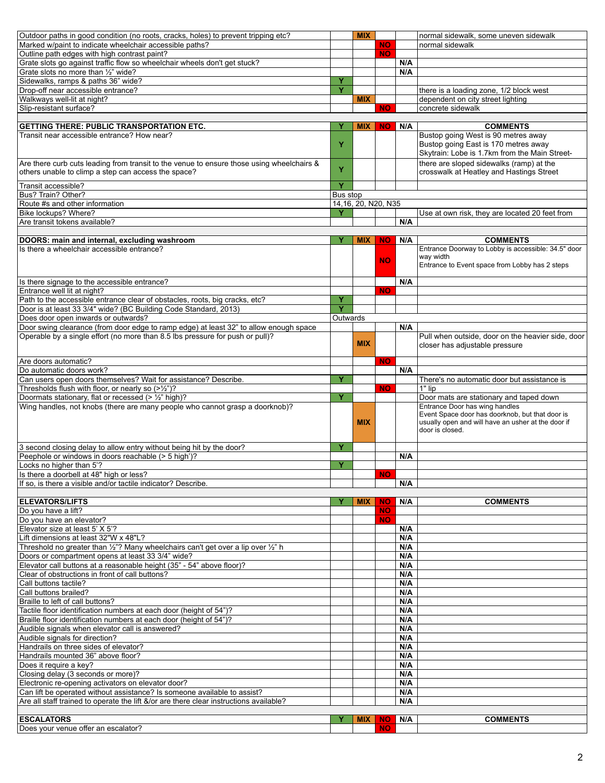| Outdoor paths in good condition (no roots, cracks, holes) to prevent tripping etc?        |          | <b>MIX</b>          |                  |     | normal sidewalk, some uneven sidewalk                            |
|-------------------------------------------------------------------------------------------|----------|---------------------|------------------|-----|------------------------------------------------------------------|
| Marked w/paint to indicate wheelchair accessible paths?                                   |          |                     | NO.              |     | normal sidewalk                                                  |
| Outline path edges with high contrast paint?                                              |          |                     | <b>NO</b>        |     |                                                                  |
| Grate slots go against traffic flow so wheelchair wheels don't get stuck?                 |          |                     |                  | N/A |                                                                  |
| Grate slots no more than 1/2" wide?                                                       |          |                     |                  | N/A |                                                                  |
| Sidewalks, ramps & paths 36" wide?                                                        | Y        |                     |                  |     |                                                                  |
| Drop-off near accessible entrance?                                                        | Ÿ        |                     |                  |     | there is a loading zone, 1/2 block west                          |
| Walkways well-lit at night?                                                               |          | <b>MIX</b>          |                  |     | dependent on city street lighting                                |
| Slip-resistant surface?                                                                   |          |                     | <b>NO</b>        |     | concrete sidewalk                                                |
|                                                                                           |          |                     |                  |     |                                                                  |
| <b>GETTING THERE: PUBLIC TRANSPORTATION ETC.</b>                                          | Y        | <b>MIX</b>          | NO.              | N/A | <b>COMMENTS</b>                                                  |
| Transit near accessible entrance? How near?                                               |          |                     |                  |     | Bustop going West is 90 metres away                              |
|                                                                                           | Y        |                     |                  |     | Bustop going East is 170 metres away                             |
|                                                                                           |          |                     |                  |     | Skytrain: Lobe is 1.7km from the Main Street-                    |
|                                                                                           |          |                     |                  |     |                                                                  |
| Are there curb cuts leading from transit to the venue to ensure those using wheelchairs & | Y        |                     |                  |     | there are sloped sidewalks (ramp) at the                         |
| others unable to climp a step can access the space?                                       |          |                     |                  |     | crosswalk at Heatley and Hastings Street                         |
| Transit accessible?                                                                       | Ÿ        |                     |                  |     |                                                                  |
| Bus? Train? Other?                                                                        | Bus stop |                     |                  |     |                                                                  |
| Route #s and other information                                                            |          | 14,16, 20, N20, N35 |                  |     |                                                                  |
| Bike lockups? Where?                                                                      | Y        |                     |                  |     | Use at own risk, they are located 20 feet from                   |
| Are transit tokens available?                                                             |          |                     |                  | N/A |                                                                  |
|                                                                                           |          |                     |                  |     |                                                                  |
|                                                                                           |          |                     |                  |     |                                                                  |
| DOORS: main and internal, excluding washroom                                              |          | <b>MIX</b>          | <b>NO</b>        | N/A | <b>COMMENTS</b>                                                  |
| Is there a wheelchair accessible entrance?                                                |          |                     |                  |     | Entrance Doorway to Lobby is accessible: 34.5" door<br>way width |
|                                                                                           |          |                     | <b>NO</b>        |     | Entrance to Event space from Lobby has 2 steps                   |
|                                                                                           |          |                     |                  |     |                                                                  |
| Is there signage to the accessible entrance?                                              |          |                     |                  | N/A |                                                                  |
| Entrance well lit at night?                                                               |          |                     |                  |     |                                                                  |
|                                                                                           |          |                     | <b>NO</b>        |     |                                                                  |
| Path to the accessible entrance clear of obstacles, roots, big cracks, etc?               | Y        |                     |                  |     |                                                                  |
| Door is at least 33 3/4" wide? (BC Building Code Standard, 2013)                          | Ÿ        |                     |                  |     |                                                                  |
| Does door open inwards or outwards?                                                       | Outwards |                     |                  |     |                                                                  |
| Door swing clearance (from door edge to ramp edge) at least 32" to allow enough space     |          |                     |                  | N/A |                                                                  |
| Operable by a single effort (no more than 8.5 lbs pressure for push or pull)?             |          |                     |                  |     | Pull when outside, door on the heavier side, door                |
|                                                                                           |          | <b>MIX</b>          |                  |     | closer has adjustable pressure                                   |
|                                                                                           |          |                     |                  |     |                                                                  |
| Are doors automatic?                                                                      |          |                     | <b>NO</b>        |     |                                                                  |
| Do automatic doors work?                                                                  |          |                     |                  | N/A |                                                                  |
| Can users open doors themselves? Wait for assistance? Describe.                           | Y        |                     |                  |     | There's no automatic door but assistance is                      |
| Thresholds flush with floor, or nearly so $(>\frac{1}{2})$ ?                              |          |                     | <b>NO</b>        |     | 1" lip                                                           |
| Doormats stationary, flat or recessed (> 1/2" high)?                                      | Y        |                     |                  |     | Door mats are stationary and taped down                          |
| Wing handles, not knobs (there are many people who cannot grasp a doorknob)?              |          |                     |                  |     | Entrance Door has wing handles                                   |
|                                                                                           |          |                     |                  |     | Event Space door has doorknob, but that door is                  |
|                                                                                           |          | <b>MIX</b>          |                  |     | usually open and will have an usher at the door if               |
|                                                                                           |          |                     |                  |     | door is closed.                                                  |
|                                                                                           |          |                     |                  |     |                                                                  |
| 3 second closing delay to allow entry without being hit by the door?                      | Y        |                     |                  |     |                                                                  |
| Peephole or windows in doors reachable (> 5 high')?                                       |          |                     |                  | N/A |                                                                  |
| Locks no higher than 5'?                                                                  | Ÿ        |                     |                  |     |                                                                  |
| Is there a doorbell at 48" high or less?                                                  |          |                     | <b>NO</b>        |     |                                                                  |
| If so, is there a visible and/or tactile indicator? Describe.                             |          |                     |                  | N/A |                                                                  |
|                                                                                           |          |                     |                  |     |                                                                  |
| <b>ELEVATORS/LIFTS</b>                                                                    |          | <b>MIX</b>          | <b>NO</b>        | N/A | <b>COMMENTS</b>                                                  |
| Do you have a lift?                                                                       |          |                     |                  |     |                                                                  |
|                                                                                           |          |                     |                  |     |                                                                  |
|                                                                                           |          |                     | <b>NO</b>        |     |                                                                  |
| Do you have an elevator?                                                                  |          |                     | <b>NO</b>        |     |                                                                  |
| Elevator size at least 5' X 5'?                                                           |          |                     |                  | N/A |                                                                  |
| Lift dimensions at least 32"W x 48"L?                                                     |          |                     |                  | N/A |                                                                  |
| Threshold no greater than 1/2"? Many wheelchairs can't get over a lip over 1/2" h         |          |                     |                  | N/A |                                                                  |
| Doors or compartment opens at least 33 3/4" wide?                                         |          |                     |                  | N/A |                                                                  |
| Elevator call buttons at a reasonable height (35" - 54" above floor)?                     |          |                     |                  | N/A |                                                                  |
| Clear of obstructions in front of call buttons?                                           |          |                     |                  | N/A |                                                                  |
| Call buttons tactile?                                                                     |          |                     |                  | N/A |                                                                  |
| Call buttons brailed?                                                                     |          |                     |                  | N/A |                                                                  |
| Braille to left of call buttons?                                                          |          |                     |                  | N/A |                                                                  |
| Tactile floor identification numbers at each door (height of 54")?                        |          |                     |                  | N/A |                                                                  |
| Braille floor identification numbers at each door (height of 54")?                        |          |                     |                  | N/A |                                                                  |
|                                                                                           |          |                     |                  | N/A |                                                                  |
| Audible signals when elevator call is answered?<br>Audible signals for direction?         |          |                     |                  | N/A |                                                                  |
|                                                                                           |          |                     |                  | N/A |                                                                  |
| Handrails on three sides of elevator?                                                     |          |                     |                  |     |                                                                  |
| Handrails mounted 36" above floor?                                                        |          |                     |                  | N/A |                                                                  |
| Does it require a key?                                                                    |          |                     |                  | N/A |                                                                  |
| Closing delay (3 seconds or more)?                                                        |          |                     |                  | N/A |                                                                  |
| Electronic re-opening activators on elevator door?                                        |          |                     |                  | N/A |                                                                  |
| Can lift be operated without assistance? Is someone available to assist?                  |          |                     |                  | N/A |                                                                  |
| Are all staff trained to operate the lift &/or are there clear instructions available?    |          |                     |                  | N/A |                                                                  |
|                                                                                           |          |                     |                  |     |                                                                  |
| <b>ESCALATORS</b><br>Does your venue offer an escalator?                                  |          | <b>MIX</b>          | NO.<br><b>NO</b> | N/A | <b>COMMENTS</b>                                                  |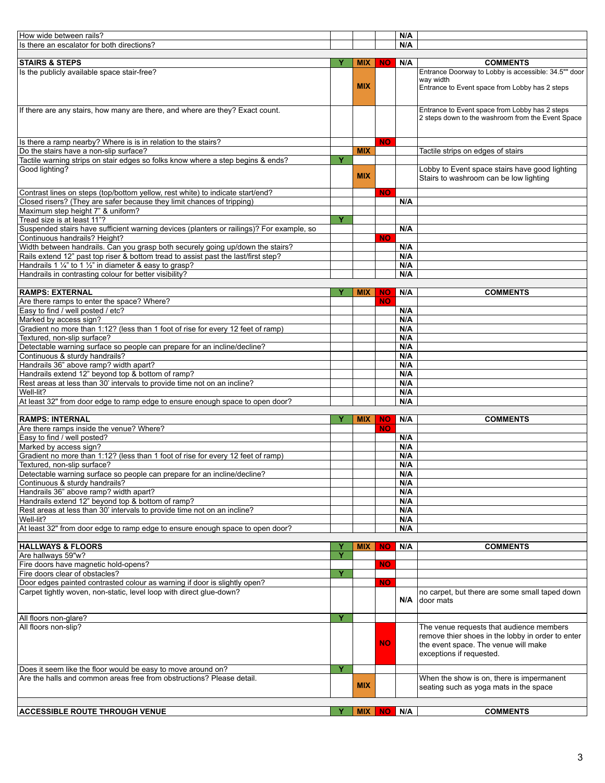| How wide between rails?                                                                                                                                              |   |            |           | N/A        |                                                                                          |
|----------------------------------------------------------------------------------------------------------------------------------------------------------------------|---|------------|-----------|------------|------------------------------------------------------------------------------------------|
| Is there an escalator for both directions?                                                                                                                           |   |            |           | N/A        |                                                                                          |
|                                                                                                                                                                      |   |            |           |            |                                                                                          |
| <b>STAIRS &amp; STEPS</b>                                                                                                                                            | Y | <b>MIX</b> | NO.       | N/A        | <b>COMMENTS</b>                                                                          |
| Is the publicly available space stair-free?                                                                                                                          |   |            |           |            | Entrance Doorway to Lobby is accessible: 34.5"" door<br>way width                        |
|                                                                                                                                                                      |   | <b>MIX</b> |           |            | Entrance to Event space from Lobby has 2 steps                                           |
|                                                                                                                                                                      |   |            |           |            |                                                                                          |
|                                                                                                                                                                      |   |            |           |            | Entrance to Event space from Lobby has 2 steps                                           |
| If there are any stairs, how many are there, and where are they? Exact count.                                                                                        |   |            |           |            | 2 steps down to the washroom from the Event Space                                        |
|                                                                                                                                                                      |   |            |           |            |                                                                                          |
|                                                                                                                                                                      |   |            |           |            |                                                                                          |
| Is there a ramp nearby? Where is is in relation to the stairs?                                                                                                       |   |            | <b>NO</b> |            |                                                                                          |
| Do the stairs have a non-slip surface?                                                                                                                               |   | <b>MIX</b> |           |            | Tactile strips on edges of stairs                                                        |
| Tactile warning strips on stair edges so folks know where a step begins & ends?                                                                                      | Y |            |           |            |                                                                                          |
| Good lighting?                                                                                                                                                       |   | <b>MIX</b> |           |            | Lobby to Event space stairs have good lighting<br>Stairs to washroom can be low lighting |
|                                                                                                                                                                      |   |            |           |            |                                                                                          |
| Contrast lines on steps (top/bottom yellow, rest white) to indicate start/end?                                                                                       |   |            | <b>NO</b> |            |                                                                                          |
| Closed risers? (They are safer because they limit chances of tripping)                                                                                               |   |            |           | N/A        |                                                                                          |
| Maximum step height 7" & uniform?                                                                                                                                    |   |            |           |            |                                                                                          |
| Tread size is at least 11"?                                                                                                                                          | Y |            |           |            |                                                                                          |
| Suspended stairs have sufficient warning devices (planters or railings)? For example, so                                                                             |   |            |           | N/A        |                                                                                          |
| Continuous handrails? Height?                                                                                                                                        |   |            | <b>NO</b> |            |                                                                                          |
| Width between handrails. Can you grasp both securely going up/down the stairs?<br>Rails extend 12" past top riser & bottom tread to assist past the last/first step? |   |            |           | N/A<br>N/A |                                                                                          |
| Handrails 1 $\frac{1}{4}$ " to 1 $\frac{1}{2}$ " in diameter & easy to grasp?                                                                                        |   |            |           | N/A        |                                                                                          |
| Handrails in contrasting colour for better visibility?                                                                                                               |   |            |           | N/A        |                                                                                          |
|                                                                                                                                                                      |   |            |           |            |                                                                                          |
| <b>RAMPS: EXTERNAL</b>                                                                                                                                               | Y | <b>MIX</b> | <b>NO</b> | N/A        | <b>COMMENTS</b>                                                                          |
| Are there ramps to enter the space? Where?                                                                                                                           |   |            | <b>NO</b> |            |                                                                                          |
| Easy to find / well posted / etc?                                                                                                                                    |   |            |           | N/A        |                                                                                          |
| Marked by access sign?                                                                                                                                               |   |            |           | N/A        |                                                                                          |
| Gradient no more than 1:12? (less than 1 foot of rise for every 12 feet of ramp)                                                                                     |   |            |           | N/A        |                                                                                          |
| Textured, non-slip surface?                                                                                                                                          |   |            |           | N/A        |                                                                                          |
| Detectable warning surface so people can prepare for an incline/decline?                                                                                             |   |            |           | N/A        |                                                                                          |
| Continuous & sturdy handrails?                                                                                                                                       |   |            |           | N/A        |                                                                                          |
| Handrails 36" above ramp? width apart?                                                                                                                               |   |            |           | N/A        |                                                                                          |
| Handrails extend 12" beyond top & bottom of ramp?                                                                                                                    |   |            |           | N/A        |                                                                                          |
| Rest areas at less than 30' intervals to provide time not on an incline?                                                                                             |   |            |           | N/A        |                                                                                          |
| Well-lit?<br>At least 32" from door edge to ramp edge to ensure enough space to open door?                                                                           |   |            |           | N/A<br>N/A |                                                                                          |
|                                                                                                                                                                      |   |            |           |            |                                                                                          |
| <b>RAMPS: INTERNAL</b>                                                                                                                                               | Y | <b>MIX</b> | <b>NO</b> | N/A        | <b>COMMENTS</b>                                                                          |
| Are there ramps inside the venue? Where?                                                                                                                             |   |            | <b>NO</b> |            |                                                                                          |
| Easy to find / well posted?                                                                                                                                          |   |            |           | N/A        |                                                                                          |
| Marked by access sign?                                                                                                                                               |   |            |           | N/A        |                                                                                          |
| Gradient no more than 1:12? (less than 1 foot of rise for every 12 feet of ramp)                                                                                     |   |            |           | N/A        |                                                                                          |
| Textured, non-slip surface?                                                                                                                                          |   |            |           | N/A        |                                                                                          |
| Detectable warning surface so people can prepare for an incline/decline?                                                                                             |   |            |           | N/A        |                                                                                          |
| Continuous & sturdy handrails?                                                                                                                                       |   |            |           | N/A        |                                                                                          |
| Handrails 36" above ramp? width apart?                                                                                                                               |   |            |           | N/A        |                                                                                          |
| Handrails extend 12" beyond top & bottom of ramp?                                                                                                                    |   |            |           | N/A        |                                                                                          |
| Rest areas at less than 30' intervals to provide time not on an incline?                                                                                             |   |            |           | N/A        |                                                                                          |
| Well-lit?<br>At least 32" from door edge to ramp edge to ensure enough space to open door?                                                                           |   |            |           | N/A<br>N/A |                                                                                          |
|                                                                                                                                                                      |   |            |           |            |                                                                                          |
| <b>HALLWAYS &amp; FLOORS</b>                                                                                                                                         | Y | <b>MIX</b> | <b>NO</b> | N/A        | <b>COMMENTS</b>                                                                          |
| Are hallways 59"w?                                                                                                                                                   | Y |            |           |            |                                                                                          |
| Fire doors have magnetic hold-opens?                                                                                                                                 |   |            | <b>NO</b> |            |                                                                                          |
| Fire doors clear of obstacles?                                                                                                                                       | Y |            |           |            |                                                                                          |
| Door edges painted contrasted colour as warning if door is slightly open?                                                                                            |   |            | <b>NO</b> |            |                                                                                          |
| Carpet tightly woven, non-static, level loop with direct glue-down?                                                                                                  |   |            |           |            | no carpet, but there are some small taped down                                           |
|                                                                                                                                                                      |   |            |           | N/A        | door mats                                                                                |
|                                                                                                                                                                      |   |            |           |            |                                                                                          |
| All floors non-glare?<br>All floors non-slip?                                                                                                                        | Y |            |           |            | The venue requests that audience members                                                 |
|                                                                                                                                                                      |   |            |           |            | remove thier shoes in the lobby in order to enter                                        |
|                                                                                                                                                                      |   |            | <b>NO</b> |            | the event space. The venue will make                                                     |
|                                                                                                                                                                      |   |            |           |            | exceptions if requested.                                                                 |
|                                                                                                                                                                      |   |            |           |            |                                                                                          |
| Does it seem like the floor would be easy to move around on?                                                                                                         | Ÿ |            |           |            |                                                                                          |
| Are the halls and common areas free from obstructions? Please detail.                                                                                                |   | <b>MIX</b> |           |            | When the show is on, there is impermanent                                                |
|                                                                                                                                                                      |   |            |           |            | seating such as yoga mats in the space                                                   |
|                                                                                                                                                                      |   |            |           |            |                                                                                          |
| <b>ACCESSIBLE ROUTE THROUGH VENUE</b>                                                                                                                                | Y | MIX        | NO.       | N/A        | <b>COMMENTS</b>                                                                          |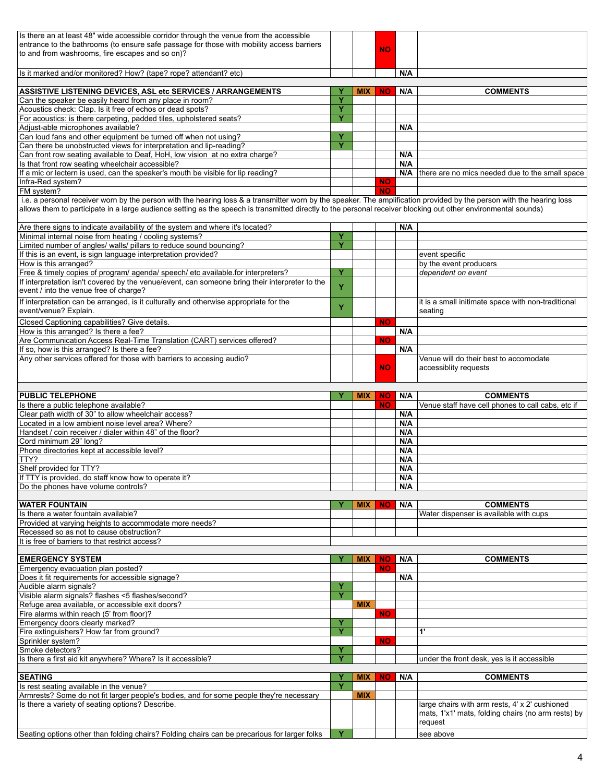| Is there an at least 48" wide accessible corridor through the venue from the accessible                                                                                                                                                                                                                                                 |        |            |           |            |                                                     |
|-----------------------------------------------------------------------------------------------------------------------------------------------------------------------------------------------------------------------------------------------------------------------------------------------------------------------------------------|--------|------------|-----------|------------|-----------------------------------------------------|
| entrance to the bathrooms (to ensure safe passage for those with mobility access barriers                                                                                                                                                                                                                                               |        |            | <b>NO</b> |            |                                                     |
| to and from washrooms, fire escapes and so on)?                                                                                                                                                                                                                                                                                         |        |            |           |            |                                                     |
| Is it marked and/or monitored? How? (tape? rope? attendant? etc)                                                                                                                                                                                                                                                                        |        |            |           | N/A        |                                                     |
|                                                                                                                                                                                                                                                                                                                                         |        |            |           |            |                                                     |
| ASSISTIVE LISTENING DEVICES, ASL etc SERVICES / ARRANGEMENTS                                                                                                                                                                                                                                                                            | Y      | <b>MIX</b> | <b>NO</b> | N/A        | <b>COMMENTS</b>                                     |
| Can the speaker be easily heard from any place in room?                                                                                                                                                                                                                                                                                 | Ÿ<br>Ÿ |            |           |            |                                                     |
| Acoustics check: Clap. Is it free of echos or dead spots?<br>For acoustics: is there carpeting, padded tiles, upholstered seats?                                                                                                                                                                                                        | Y      |            |           |            |                                                     |
| Adjust-able microphones available?                                                                                                                                                                                                                                                                                                      |        |            |           | N/A        |                                                     |
| Can loud fans and other equipment be turned off when not using?                                                                                                                                                                                                                                                                         | Ÿ      |            |           |            |                                                     |
| Can there be unobstructed views for interpretation and lip-reading?                                                                                                                                                                                                                                                                     | Ÿ      |            |           |            |                                                     |
| Can front row seating available to Deaf, HoH, low vision at no extra charge?<br>Is that front row seating wheelchair accessible?                                                                                                                                                                                                        |        |            |           | N/A<br>N/A |                                                     |
| If a mic or lectern is used, can the speaker's mouth be visible for lip reading?                                                                                                                                                                                                                                                        |        |            |           |            | N/A there are no mics needed due to the small space |
| Infra-Red system?                                                                                                                                                                                                                                                                                                                       |        |            | <b>NO</b> |            |                                                     |
| FM system?                                                                                                                                                                                                                                                                                                                              |        |            | <b>NO</b> |            |                                                     |
| i.e. a personal receiver worn by the person with the hearing loss & a transmitter worn by the speaker. The amplification provided by the person with the hearing loss<br>allows them to participate in a large audience setting as the speech is transmitted directly to the personal receiver blocking out other environmental sounds) |        |            |           |            |                                                     |
|                                                                                                                                                                                                                                                                                                                                         |        |            |           |            |                                                     |
| Are there signs to indicate availability of the system and where it's located?                                                                                                                                                                                                                                                          |        |            |           | N/A        |                                                     |
| Minimal internal noise from heating / cooling systems?                                                                                                                                                                                                                                                                                  | Y      |            |           |            |                                                     |
| Limited number of angles/ walls/ pillars to reduce sound bouncing?<br>If this is an event, is sign language interpretation provided?                                                                                                                                                                                                    | Ÿ      |            |           |            | event specific                                      |
| How is this arranged?                                                                                                                                                                                                                                                                                                                   |        |            |           |            | by the event producers                              |
| Free & timely copies of program/ agenda/ speech/ etc available.for interpreters?                                                                                                                                                                                                                                                        | Y      |            |           |            | dependent on event                                  |
| If interpretation isn't covered by the venue/event, can someone bring their interpreter to the                                                                                                                                                                                                                                          | Y      |            |           |            |                                                     |
| event / into the venue free of charge?                                                                                                                                                                                                                                                                                                  |        |            |           |            |                                                     |
| If interpretation can be arranged, is it culturally and otherwise appropriate for the                                                                                                                                                                                                                                                   | Y      |            |           |            | it is a small initimate space with non-traditional  |
| event/venue? Explain.                                                                                                                                                                                                                                                                                                                   |        |            |           |            | seating                                             |
| Closed Captioning capabilities? Give details.<br>How is this arranged? Is there a fee?                                                                                                                                                                                                                                                  |        |            | <b>NO</b> | N/A        |                                                     |
| Are Communication Access Real-Time Translation (CART) services offered?                                                                                                                                                                                                                                                                 |        |            | <b>NO</b> |            |                                                     |
| If so, how is this arranged? Is there a fee?                                                                                                                                                                                                                                                                                            |        |            |           | N/A        |                                                     |
| Any other services offered for those with barriers to accesing audio?                                                                                                                                                                                                                                                                   |        |            |           |            | Venue will do their best to accomodate              |
|                                                                                                                                                                                                                                                                                                                                         |        |            | <b>NO</b> |            | accessiblity requests                               |
|                                                                                                                                                                                                                                                                                                                                         |        |            |           |            |                                                     |
| <b>PUBLIC TELEPHONE</b>                                                                                                                                                                                                                                                                                                                 | Y      | <b>MIX</b> | <b>NO</b> | N/A        | <b>COMMENTS</b>                                     |
| Is there a public telephone available?                                                                                                                                                                                                                                                                                                  |        |            | <b>NO</b> |            | Venue staff have cell phones to call cabs, etc if   |
| Clear path width of 30" to allow wheelchair access?                                                                                                                                                                                                                                                                                     |        |            |           | N/A        |                                                     |
| Located in a low ambient noise level area? Where?<br>Handset / coin receiver / dialer within 48" of the floor?                                                                                                                                                                                                                          |        |            |           | N/A<br>N/A |                                                     |
| Cord minimum 29" long?                                                                                                                                                                                                                                                                                                                  |        |            |           | N/A        |                                                     |
| Phone directories kept at accessible level?                                                                                                                                                                                                                                                                                             |        |            |           | N/A        |                                                     |
| TTY?                                                                                                                                                                                                                                                                                                                                    |        |            |           | N/A        |                                                     |
| Shelf provided for TTY?<br>If TTY is provided, do staff know how to operate it?                                                                                                                                                                                                                                                         |        |            |           | N/A        |                                                     |
|                                                                                                                                                                                                                                                                                                                                         |        |            |           |            |                                                     |
|                                                                                                                                                                                                                                                                                                                                         |        |            |           | N/A        |                                                     |
| Do the phones have volume controls?                                                                                                                                                                                                                                                                                                     |        |            |           | N/A        |                                                     |
| <b>WATER FOUNTAIN</b>                                                                                                                                                                                                                                                                                                                   |        | <b>MIX</b> | <b>NO</b> | N/A        | <b>COMMENTS</b>                                     |
| Is there a water fountain available?                                                                                                                                                                                                                                                                                                    |        |            |           |            | Water dispenser is available with cups              |
| Provided at varying heights to accommodate more needs?                                                                                                                                                                                                                                                                                  |        |            |           |            |                                                     |
| Recessed so as not to cause obstruction?                                                                                                                                                                                                                                                                                                |        |            |           |            |                                                     |
| It is free of barriers to that restrict access?                                                                                                                                                                                                                                                                                         |        |            |           |            |                                                     |
| <b>EMERGENCY SYSTEM</b>                                                                                                                                                                                                                                                                                                                 | Y      | <b>MIX</b> | <b>NO</b> | N/A        | <b>COMMENTS</b>                                     |
| Emergency evacuation plan posted?                                                                                                                                                                                                                                                                                                       |        |            | <b>NO</b> |            |                                                     |
| Does it fit requirements for accessible signage?                                                                                                                                                                                                                                                                                        |        |            |           | N/A        |                                                     |
| Audible alarm signals?                                                                                                                                                                                                                                                                                                                  | Y<br>Ÿ |            |           |            |                                                     |
| Visible alarm signals? flashes <5 flashes/second?<br>Refuge area available, or accessible exit doors?                                                                                                                                                                                                                                   |        | <b>MIX</b> |           |            |                                                     |
| Fire alarms within reach (5' from floor)?                                                                                                                                                                                                                                                                                               |        |            | <b>NO</b> |            |                                                     |
| Emergency doors clearly marked?                                                                                                                                                                                                                                                                                                         | Y      |            |           |            |                                                     |
| Fire extinguishers? How far from ground?                                                                                                                                                                                                                                                                                                | Y      |            |           |            | $\ddot{\mathbf{r}}$                                 |
| Sprinkler system?<br>Smoke detectors?                                                                                                                                                                                                                                                                                                   | Y      |            | <b>NO</b> |            |                                                     |
| Is there a first aid kit anywhere? Where? Is it accessible?                                                                                                                                                                                                                                                                             | Ÿ      |            |           |            | under the front desk, yes is it accessible          |
|                                                                                                                                                                                                                                                                                                                                         |        |            |           |            |                                                     |
| <b>SEATING</b>                                                                                                                                                                                                                                                                                                                          | Y      | <b>MIX</b> | <b>NO</b> | N/A        | <b>COMMENTS</b>                                     |
| Is rest seating available in the venue?                                                                                                                                                                                                                                                                                                 | Ÿ      |            |           |            |                                                     |
| Armrests? Some do not fit larger people's bodies, and for some people they're necessary<br>Is there a variety of seating options? Describe.                                                                                                                                                                                             |        | <b>MIX</b> |           |            | large chairs with arm rests, 4' x 2' cushioned      |
|                                                                                                                                                                                                                                                                                                                                         |        |            |           |            | mats, 1'x1' mats, folding chairs (no arm rests) by  |
| Seating options other than folding chairs? Folding chairs can be precarious for larger folks                                                                                                                                                                                                                                            | Y      |            |           |            | request<br>see above                                |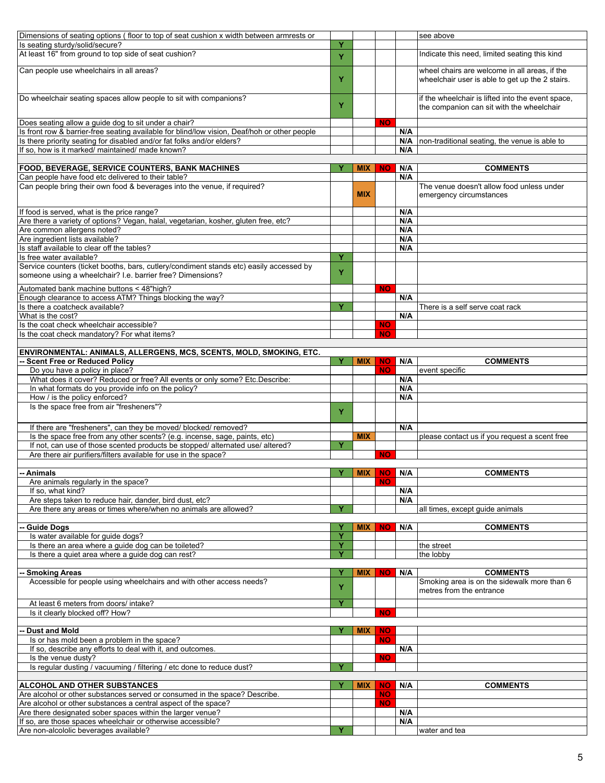| Dimensions of seating options (floor to top of seat cushion x width between armrests or                                                               |    |                 |                        |            | see above                                                                                        |
|-------------------------------------------------------------------------------------------------------------------------------------------------------|----|-----------------|------------------------|------------|--------------------------------------------------------------------------------------------------|
| Is seating sturdy/solid/secure?                                                                                                                       | Y  |                 |                        |            |                                                                                                  |
| At least 16" from ground to top side of seat cushion?                                                                                                 | Y  |                 |                        |            | Indicate this need, limited seating this kind                                                    |
| Can people use wheelchairs in all areas?                                                                                                              | Y  |                 |                        |            | wheel chairs are welcome in all areas, if the<br>wheelchair user is able to get up the 2 stairs. |
| Do wheelchair seating spaces allow people to sit with companions?                                                                                     | Y  |                 |                        |            | if the wheelchair is lifted into the event space,<br>the companion can sit with the wheelchair   |
| Does seating allow a guide dog to sit under a chair?                                                                                                  |    |                 | <b>NO</b>              |            |                                                                                                  |
| Is front row & barrier-free seating available for blind/low vision, Deaf/hoh or other people                                                          |    |                 |                        | N/A        |                                                                                                  |
| Is there priority seating for disabled and/or fat folks and/or elders?<br>If so, how is it marked/ maintained/ made known?                            |    |                 |                        | N/A<br>N/A | non-traditional seating, the venue is able to                                                    |
|                                                                                                                                                       |    |                 |                        |            |                                                                                                  |
| <b>FOOD, BEVERAGE, SERVICE COUNTERS, BANK MACHINES</b>                                                                                                |    | <b>MIX</b>      | <b>NO</b>              | N/A        | <b>COMMENTS</b>                                                                                  |
| Can people have food etc delivered to their table?                                                                                                    |    |                 |                        | N/A        |                                                                                                  |
| Can people bring their own food & beverages into the venue, if required?                                                                              |    | <b>MIX</b>      |                        |            | The venue doesn't allow food unless under<br>emergency circumstances                             |
| If food is served, what is the price range?                                                                                                           |    |                 |                        | N/A        |                                                                                                  |
| Are there a variety of options? Vegan, halal, vegetarian, kosher, gluten free, etc?                                                                   |    |                 |                        | N/A        |                                                                                                  |
| Are common allergens noted?                                                                                                                           |    |                 |                        | N/A        |                                                                                                  |
| Are ingredient lists available?                                                                                                                       |    |                 |                        | N/A        |                                                                                                  |
| Is staff available to clear off the tables?                                                                                                           |    |                 |                        | N/A        |                                                                                                  |
| Is free water available?                                                                                                                              | Y  |                 |                        |            |                                                                                                  |
| Service counters (ticket booths, bars, cutlery/condiment stands etc) easily accessed by<br>someone using a wheelchair? I.e. barrier free? Dimensions? | Y  |                 |                        |            |                                                                                                  |
| Automated bank machine buttons < 48"high?                                                                                                             |    |                 | <b>NO</b>              |            |                                                                                                  |
| Enough clearance to access ATM? Things blocking the way?                                                                                              |    |                 |                        | N/A        |                                                                                                  |
| Is there a coatcheck available?                                                                                                                       | Y  |                 |                        | N/A        | There is a self serve coat rack                                                                  |
| What is the cost?<br>Is the coat check wheelchair accessible?                                                                                         |    |                 | <b>NO</b>              |            |                                                                                                  |
| Is the coat check mandatory? For what items?                                                                                                          |    |                 | <b>NO</b>              |            |                                                                                                  |
|                                                                                                                                                       |    |                 |                        |            |                                                                                                  |
| ENVIRONMENTAL: ANIMALS, ALLERGENS, MCS, SCENTS, MOLD, SMOKING, ETC.                                                                                   |    |                 |                        |            |                                                                                                  |
| -- Scent Free or Reduced Policy                                                                                                                       | Y. | <b>MIX</b>      | <b>NO</b>              | N/A        | <b>COMMENTS</b>                                                                                  |
| Do you have a policy in place?                                                                                                                        |    |                 | <b>NO</b>              |            | event specific                                                                                   |
| What does it cover? Reduced or free? All events or only some? Etc.Describe:                                                                           |    |                 |                        | N/A        |                                                                                                  |
| In what formats do you provide info on the policy?                                                                                                    |    |                 |                        | N/A        |                                                                                                  |
| How / is the policy enforced?                                                                                                                         |    |                 |                        | N/A        |                                                                                                  |
|                                                                                                                                                       |    |                 |                        |            |                                                                                                  |
| Is the space free from air "fresheners"?                                                                                                              | Y  |                 |                        |            |                                                                                                  |
| If there are "fresheners", can they be moved/ blocked/ removed?                                                                                       |    |                 |                        | N/A        |                                                                                                  |
| Is the space free from any other scents? (e.g. incense, sage, paints, etc)                                                                            |    | <b>MIX</b>      |                        |            | please contact us if you request a scent free                                                    |
| If not, can use of those scented products be stopped/ alternated use/ altered?                                                                        | Y  |                 |                        |            |                                                                                                  |
| Are there air purifiers/filters available for use in the space?                                                                                       |    |                 | <b>NO</b>              |            |                                                                                                  |
|                                                                                                                                                       |    |                 |                        |            |                                                                                                  |
| -- Animals                                                                                                                                            | Y  | <b>MIX   NO</b> |                        | N/A        | <b>COMMENTS</b>                                                                                  |
| Are animals regularly in the space?                                                                                                                   |    |                 | <b>NO</b>              |            |                                                                                                  |
| If so, what kind?                                                                                                                                     |    |                 |                        | N/A        |                                                                                                  |
| Are steps taken to reduce hair, dander, bird dust, etc?                                                                                               |    |                 |                        | N/A        |                                                                                                  |
| Are there any areas or times where/when no animals are allowed?                                                                                       | Y  |                 |                        |            | all times, except guide animals                                                                  |
| <b>Guide Dogs</b>                                                                                                                                     | Y  | <b>MIX</b>      | <b>NO</b>              | N/A        | <b>COMMENTS</b>                                                                                  |
| Is water available for guide dogs?                                                                                                                    | Y  |                 |                        |            |                                                                                                  |
| Is there an area where a guide dog can be toileted?                                                                                                   | Y  |                 |                        |            | the street                                                                                       |
| Is there a quiet area where a guide dog can rest?                                                                                                     | Y  |                 |                        |            | the lobby                                                                                        |
|                                                                                                                                                       |    |                 |                        |            |                                                                                                  |
| -- Smoking Areas                                                                                                                                      | Y  | <b>MIX</b>      | <b>NO</b>              | N/A        | <b>COMMENTS</b>                                                                                  |
| Accessible for people using wheelchairs and with other access needs?                                                                                  | Y  |                 |                        |            | Smoking area is on the sidewalk more than 6<br>metres from the entrance                          |
| At least 6 meters from doors/ intake?                                                                                                                 | Ÿ  |                 |                        |            |                                                                                                  |
| Is it clearly blocked off? How?                                                                                                                       |    |                 | <b>NO</b>              |            |                                                                                                  |
|                                                                                                                                                       |    |                 |                        |            |                                                                                                  |
| <b>Dust and Mold</b>                                                                                                                                  | Υ  | <b>MIX</b>      | <b>NO</b><br><b>NO</b> |            |                                                                                                  |
| Is or has mold been a problem in the space?                                                                                                           |    |                 |                        | N/A        |                                                                                                  |
| If so, describe any efforts to deal with it, and outcomes.<br>Is the venue dusty?                                                                     |    |                 | <b>NO</b>              |            |                                                                                                  |
| Is regular dusting / vacuuming / filtering / etc done to reduce dust?                                                                                 | Y  |                 |                        |            |                                                                                                  |
|                                                                                                                                                       |    |                 |                        |            |                                                                                                  |
| <b>ALCOHOL AND OTHER SUBSTANCES</b>                                                                                                                   |    | <b>MIX</b>      | <b>NO</b>              | N/A        | <b>COMMENTS</b>                                                                                  |
| Are alcohol or other substances served or consumed in the space? Describe.                                                                            |    |                 | <b>NO</b>              |            |                                                                                                  |
| Are alcohol or other substances a central aspect of the space?                                                                                        |    |                 | <b>NO</b>              |            |                                                                                                  |
| Are there designated sober spaces within the larger venue?                                                                                            |    |                 |                        | N/A        |                                                                                                  |
| If so, are those spaces wheelchair or otherwise accessible?<br>Are non-alcololic beverages available?                                                 | Y  |                 |                        | N/A        | water and tea                                                                                    |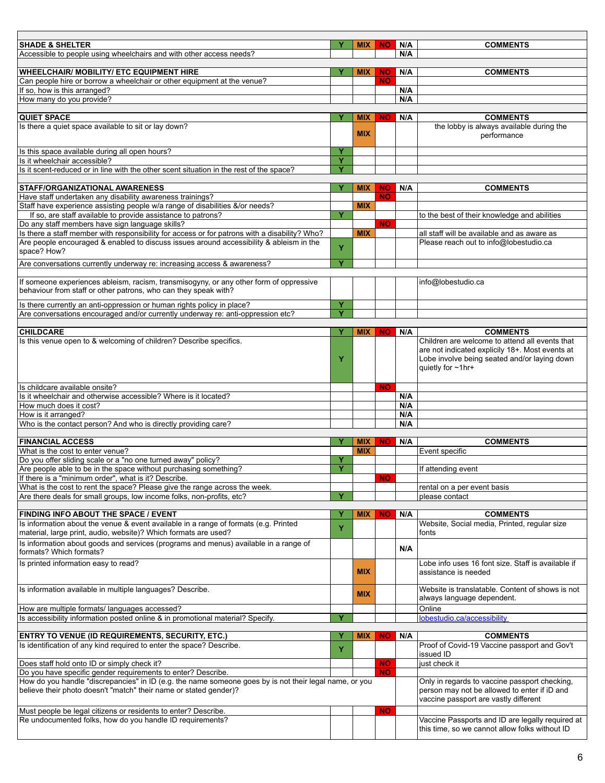| <b>SHADE &amp; SHELTER</b>                                                                                                      | Υ | <b>MIX</b> | NO.       | N/A | <b>COMMENTS</b>                                                                                 |
|---------------------------------------------------------------------------------------------------------------------------------|---|------------|-----------|-----|-------------------------------------------------------------------------------------------------|
| Accessible to people using wheelchairs and with other access needs?                                                             |   |            |           | N/A |                                                                                                 |
|                                                                                                                                 |   |            |           |     |                                                                                                 |
| <b>WHEELCHAIR/ MOBILITY/ ETC EQUIPMENT HIRE</b>                                                                                 | Y | <b>MIX</b> | <b>NO</b> | N/A | <b>COMMENTS</b>                                                                                 |
| Can people hire or borrow a wheelchair or other equipment at the venue?<br>If so, how is this arranged?                         |   |            | <b>NO</b> | N/A |                                                                                                 |
| How many do you provide?                                                                                                        |   |            |           | N/A |                                                                                                 |
|                                                                                                                                 |   |            |           |     |                                                                                                 |
| <b>QUIET SPACE</b>                                                                                                              | Y | <b>MIX</b> | <b>NO</b> | N/A | <b>COMMENTS</b>                                                                                 |
| Is there a quiet space available to sit or lay down?                                                                            |   |            |           |     | the lobby is always available during the                                                        |
|                                                                                                                                 |   | <b>MIX</b> |           |     | performance                                                                                     |
|                                                                                                                                 |   |            |           |     |                                                                                                 |
| Is this space available during all open hours?                                                                                  | Y |            |           |     |                                                                                                 |
| Is it wheelchair accessible?                                                                                                    | Y |            |           |     |                                                                                                 |
| Is it scent-reduced or in line with the other scent situation in the rest of the space?                                         | Y |            |           |     |                                                                                                 |
| <b>STAFF/ORGANIZATIONAL AWARENESS</b>                                                                                           | Y | <b>MIX</b> | NO.       | N/A | <b>COMMENTS</b>                                                                                 |
| Have staff undertaken any disability awareness trainings?                                                                       |   |            | NO.       |     |                                                                                                 |
| Staff have experience assisting people w/a range of disabilities &/or needs?                                                    |   | <b>MIX</b> |           |     |                                                                                                 |
| If so, are staff available to provide assistance to patrons?                                                                    | Y |            |           |     | to the best of their knowledge and abilities                                                    |
| Do any staff members have sign language skills?                                                                                 |   |            | <b>NO</b> |     |                                                                                                 |
| Is there a staff member with responsibility for access or for patrons with a disability? Who?                                   |   | <b>MIX</b> |           |     | all staff will be available and as aware as                                                     |
| Are people encouraged & enabled to discuss issues around accessibility & ableism in the                                         |   |            |           |     | Please reach out to info@lobestudio.ca                                                          |
| space? How?                                                                                                                     | Y |            |           |     |                                                                                                 |
|                                                                                                                                 | Y |            |           |     |                                                                                                 |
| Are conversations currently underway re: increasing access & awareness?                                                         |   |            |           |     |                                                                                                 |
| If someone experiences ableism, racism, transmisogyny, or any other form of oppressive                                          |   |            |           |     | info@lobestudio.ca                                                                              |
| behaviour from staff or other patrons, who can they speak with?                                                                 |   |            |           |     |                                                                                                 |
|                                                                                                                                 |   |            |           |     |                                                                                                 |
| Is there currently an anti-oppression or human rights policy in place?                                                          | Y |            |           |     |                                                                                                 |
| Are conversations encouraged and/or currently underway re: anti-oppression etc?                                                 | Ÿ |            |           |     |                                                                                                 |
|                                                                                                                                 |   |            |           |     |                                                                                                 |
| <b>CHILDCARE</b>                                                                                                                |   | <b>MIX</b> | <b>NO</b> | N/A | <b>COMMENTS</b>                                                                                 |
| Is this venue open to & welcoming of children? Describe specifics.                                                              |   |            |           |     | Children are welcome to attend all events that                                                  |
|                                                                                                                                 |   |            |           |     | are not indicated explicily 18+. Most events at<br>Lobe involve being seated and/or laying down |
|                                                                                                                                 | Y |            |           |     | quietly for ~1hr+                                                                               |
|                                                                                                                                 |   |            |           |     |                                                                                                 |
| Is childcare available onsite?                                                                                                  |   |            | NO.       |     |                                                                                                 |
| Is it wheelchair and otherwise accessible? Where is it located?                                                                 |   |            |           | N/A |                                                                                                 |
| How much does it cost?                                                                                                          |   |            |           | N/A |                                                                                                 |
| How is it arranged?                                                                                                             |   |            |           | N/A |                                                                                                 |
| Who is the contact person? And who is directly providing care?                                                                  |   |            |           | N/A |                                                                                                 |
|                                                                                                                                 |   |            |           |     |                                                                                                 |
| <b>FINANCIAL ACCESS</b>                                                                                                         | Y | <b>MIX</b> | NO.       | N/A | <b>COMMENTS</b>                                                                                 |
| What is the cost to enter venue?                                                                                                |   | <b>MIX</b> |           |     | Event specific                                                                                  |
| Do you offer sliding scale or a "no one turned away" policy?                                                                    | Y |            |           |     |                                                                                                 |
| Are people able to be in the space without purchasing something?                                                                | Ÿ |            |           |     | If attending event                                                                              |
| If there is a "minimum order", what is it? Describe.                                                                            |   |            | NO.       |     |                                                                                                 |
| What is the cost to rent the space? Please give the range across the week.                                                      |   |            |           |     | rental on a per event basis                                                                     |
| Are there deals for small groups, low income folks, non-profits, etc?                                                           | Y |            |           |     | please contact                                                                                  |
|                                                                                                                                 |   |            |           |     |                                                                                                 |
| FINDING INFO ABOUT THE SPACE / EVENT                                                                                            |   | MIX        | <b>NO</b> | N/A | <b>COMMENTS</b>                                                                                 |
| Is information about the venue & event available in a range of formats (e.g. Printed                                            | Y |            |           |     | Website, Social media, Printed, regular size                                                    |
| material, large print, audio, website)? Which formats are used?                                                                 |   |            |           |     | fonts                                                                                           |
| Is information about goods and services (programs and menus) available in a range of                                            |   |            |           | N/A |                                                                                                 |
| formats? Which formats?                                                                                                         |   |            |           |     |                                                                                                 |
| Is printed information easy to read?                                                                                            |   |            |           |     | Lobe info uses 16 font size. Staff is available if                                              |
|                                                                                                                                 |   | <b>MIX</b> |           |     | assistance is needed                                                                            |
| Is information available in multiple languages? Describe.                                                                       |   |            |           |     | Website is translatable. Content of shows is not                                                |
|                                                                                                                                 |   | <b>MIX</b> |           |     | always language dependent.                                                                      |
|                                                                                                                                 |   |            |           |     |                                                                                                 |
| How are multiple formats/ languages accessed?<br>Is accessibility information posted online & in promotional material? Specify. | Y |            |           |     | Online<br>lobestudio.ca/accessibility                                                           |
|                                                                                                                                 |   |            |           |     |                                                                                                 |
| <b>ENTRY TO VENUE (ID REQUIREMENTS, SECURITY, ETC.)</b>                                                                         |   | <b>MIX</b> | <b>NO</b> | N/A | <b>COMMENTS</b>                                                                                 |
| Is identification of any kind required to enter the space? Describe.                                                            |   |            |           |     | Proof of Covid-19 Vaccine passport and Gov't                                                    |
|                                                                                                                                 | Y |            |           |     | issued ID                                                                                       |
| Does staff hold onto ID or simply check it?                                                                                     |   |            | <b>NO</b> |     | just check it                                                                                   |
| Do you have specific gender requirements to enter? Describe.                                                                    |   |            | <b>NO</b> |     |                                                                                                 |
| How do you handle "discrepancies" in ID (e.g. the name someone goes by is not their legal name, or you                          |   |            |           |     | Only in regards to vaccine passport checking,                                                   |
| believe their photo doesn't "match" their name or stated gender)?                                                               |   |            |           |     | person may not be allowed to enter if iD and                                                    |
|                                                                                                                                 |   |            |           |     | vaccine passport are vastly different                                                           |
| Must people be legal citizens or residents to enter? Describe.                                                                  |   |            | <b>NO</b> |     |                                                                                                 |
| Re undocumented folks, how do you handle ID requirements?                                                                       |   |            |           |     | Vaccine Passports and ID are legally required at                                                |
|                                                                                                                                 |   |            |           |     | this time, so we cannot allow folks without ID                                                  |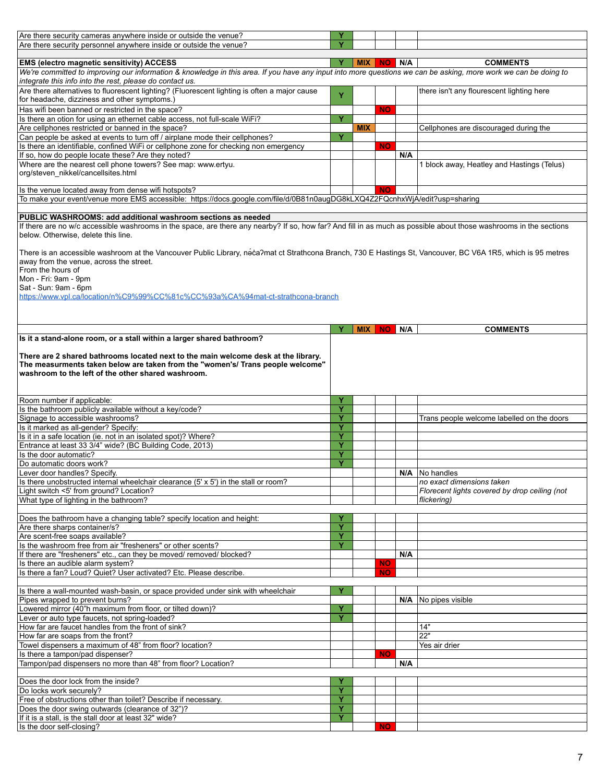| Are there security cameras anywhere inside or outside the venue?                                                                                                                                                             |   |                 |           |     |                                               |
|------------------------------------------------------------------------------------------------------------------------------------------------------------------------------------------------------------------------------|---|-----------------|-----------|-----|-----------------------------------------------|
| Are there security personnel anywhere inside or outside the venue?                                                                                                                                                           |   |                 |           |     |                                               |
|                                                                                                                                                                                                                              |   |                 |           |     |                                               |
| EMS (electro magnetic sensitivity) ACCESS                                                                                                                                                                                    |   | <b>MIX</b>      | <b>NO</b> | N/A | <b>COMMENTS</b>                               |
| We're committed to improving our information & knowledge in this area. If you have any input into more questions we can be asking, more work we can be doing to<br>integrate this info into the rest, please do contact us.  |   |                 |           |     |                                               |
| Are there alternatives to fluorescent lighting? (Fluorescent lighting is often a major cause<br>for headache, dizziness and other symptoms.)                                                                                 | Y |                 |           |     | there isn't any flourescent lighting here     |
| Has wifi been banned or restricted in the space?                                                                                                                                                                             |   |                 | <b>NO</b> |     |                                               |
| Is there an otion for using an ethernet cable access, not full-scale WiFi?                                                                                                                                                   | Ÿ |                 |           |     |                                               |
| Are cellphones restricted or banned in the space?                                                                                                                                                                            |   | <b>MIX</b>      |           |     | Cellphones are discouraged during the         |
| Can people be asked at events to turn off / airplane mode their cellphones?                                                                                                                                                  | Y |                 |           |     |                                               |
| Is there an identifiable, confined WiFi or cellphone zone for checking non emergency                                                                                                                                         |   |                 | <b>NO</b> |     |                                               |
| If so, how do people locate these? Are they noted?<br>Where are the nearest cell phone towers? See map: www.ertyu.                                                                                                           |   |                 |           | N/A | 1 block away, Heatley and Hastings (Telus)    |
| org/steven_nikkel/cancellsites.html                                                                                                                                                                                          |   |                 |           |     |                                               |
| Is the venue located away from dense wifi hotspots?                                                                                                                                                                          |   |                 | <b>NO</b> |     |                                               |
| To make your event/venue more EMS accessible: https://docs.google.com/file/d/0B81n0augDG8kLXQ4Z2FQcnhxWjA/edit?usp=sharing                                                                                                   |   |                 |           |     |                                               |
|                                                                                                                                                                                                                              |   |                 |           |     |                                               |
| PUBLIC WASHROOMS: add additional washroom sections as needed                                                                                                                                                                 |   |                 |           |     |                                               |
| If there are no w/c accessible washrooms in the space, are there any nearby? If so, how far? And fill in as much as possible about those washrooms in the sections<br>below. Otherwise, delete this line.                    |   |                 |           |     |                                               |
| There is an accessible washroom at the Vancouver Public Library, neca?mat ct Strathcona Branch, 730 E Hastings St, Vancouver, BC V6A 1R5, which is 95 metres<br>away from the venue, across the street.<br>From the hours of |   |                 |           |     |                                               |
| Mon - Fri: 9am - 9pm                                                                                                                                                                                                         |   |                 |           |     |                                               |
| Sat - Sun: 9am - 6pm                                                                                                                                                                                                         |   |                 |           |     |                                               |
| https://www.vpl.ca/location/n%C9%99%CC%81c%CC%93a%CA%94mat-ct-strathcona-branch                                                                                                                                              |   |                 |           |     |                                               |
|                                                                                                                                                                                                                              |   |                 |           |     |                                               |
|                                                                                                                                                                                                                              |   |                 |           |     |                                               |
|                                                                                                                                                                                                                              |   |                 |           |     |                                               |
|                                                                                                                                                                                                                              | Y | <b>MIX   NO</b> |           | N/A | <b>COMMENTS</b>                               |
| Is it a stand-alone room, or a stall within a larger shared bathroom?                                                                                                                                                        |   |                 |           |     |                                               |
|                                                                                                                                                                                                                              |   |                 |           |     |                                               |
|                                                                                                                                                                                                                              |   |                 |           |     |                                               |
| There are 2 shared bathrooms located next to the main welcome desk at the library.                                                                                                                                           |   |                 |           |     |                                               |
| The measurments taken below are taken from the "women's/ Trans people welcome"                                                                                                                                               |   |                 |           |     |                                               |
| washroom to the left of the other shared washroom.                                                                                                                                                                           |   |                 |           |     |                                               |
|                                                                                                                                                                                                                              |   |                 |           |     |                                               |
|                                                                                                                                                                                                                              | Y |                 |           |     |                                               |
| Room number if applicable:                                                                                                                                                                                                   | Ÿ |                 |           |     |                                               |
| Is the bathroom publicly available without a key/code?<br>Signage to accessible washrooms?                                                                                                                                   | Ÿ |                 |           |     |                                               |
| Is it marked as all-gender? Specify:                                                                                                                                                                                         | Ÿ |                 |           |     | Trans people welcome labelled on the doors    |
| Is it in a safe location (ie. not in an isolated spot)? Where?                                                                                                                                                               | Y |                 |           |     |                                               |
| Entrance at least 33 3/4" wide? (BC Building Code, 2013)                                                                                                                                                                     | Ÿ |                 |           |     |                                               |
| Is the door automatic?                                                                                                                                                                                                       | Y |                 |           |     |                                               |
| Do automatic doors work?                                                                                                                                                                                                     | Ÿ |                 |           |     |                                               |
| Lever door handles? Specify.                                                                                                                                                                                                 |   |                 |           |     | $N/A$ No handles                              |
| Is there unobstructed internal wheelchair clearance (5' x 5') in the stall or room?                                                                                                                                          |   |                 |           |     | no exact dimensions taken                     |
| Light switch <5' from ground? Location?                                                                                                                                                                                      |   |                 |           |     | Florecent lights covered by drop ceiling (not |
| What type of lighting in the bathroom?                                                                                                                                                                                       |   |                 |           |     | flickering)                                   |
|                                                                                                                                                                                                                              |   |                 |           |     |                                               |
| Does the bathroom have a changing table? specify location and height:                                                                                                                                                        |   |                 |           |     |                                               |
| Are there sharps container/s?                                                                                                                                                                                                | Ÿ |                 |           |     |                                               |
| Are scent-free soaps available?                                                                                                                                                                                              | Ÿ |                 |           |     |                                               |
| Is the washroom free from air "fresheners" or other scents?                                                                                                                                                                  | Y |                 |           | N/A |                                               |
| If there are "fresheners" etc., can they be moved/ removed/ blocked?<br>Is there an audible alarm system?                                                                                                                    |   |                 | <b>NO</b> |     |                                               |
| Is there a fan? Loud? Quiet? User activated? Etc. Please describe.                                                                                                                                                           |   |                 | <b>NO</b> |     |                                               |
|                                                                                                                                                                                                                              |   |                 |           |     |                                               |
| Is there a wall-mounted wash-basin, or space provided under sink with wheelchair                                                                                                                                             |   |                 |           |     |                                               |
| Pipes wrapped to prevent burns?                                                                                                                                                                                              |   |                 |           |     | $N/A$   No pipes visible                      |
| Lowered mirror (40"h maximum from floor, or tilted down)?                                                                                                                                                                    | Υ |                 |           |     |                                               |
| Lever or auto type faucets, not spring-loaded?                                                                                                                                                                               | Ÿ |                 |           |     |                                               |
| How far are faucet handles from the front of sink?                                                                                                                                                                           |   |                 |           |     | 14"                                           |
| How far are soaps from the front?                                                                                                                                                                                            |   |                 |           |     | 22"                                           |
| Towel dispensers a maximum of 48" from floor? location?                                                                                                                                                                      |   |                 |           |     | Yes air drier                                 |
| Is there a tampon/pad dispenser?                                                                                                                                                                                             |   |                 | <b>NO</b> | N/A |                                               |
| Tampon/pad dispensers no more than 48" from floor? Location?                                                                                                                                                                 |   |                 |           |     |                                               |
| Does the door lock from the inside?                                                                                                                                                                                          | Y |                 |           |     |                                               |
| Do locks work securely?                                                                                                                                                                                                      | Y |                 |           |     |                                               |
| Free of obstructions other than toilet? Describe if necessary.                                                                                                                                                               | Y |                 |           |     |                                               |
| Does the door swing outwards (clearance of 32")?                                                                                                                                                                             | Ÿ |                 |           |     |                                               |
| If it is a stall, is the stall door at least 32" wide?<br>Is the door self-closing?                                                                                                                                          | Ÿ |                 | <b>NO</b> |     |                                               |